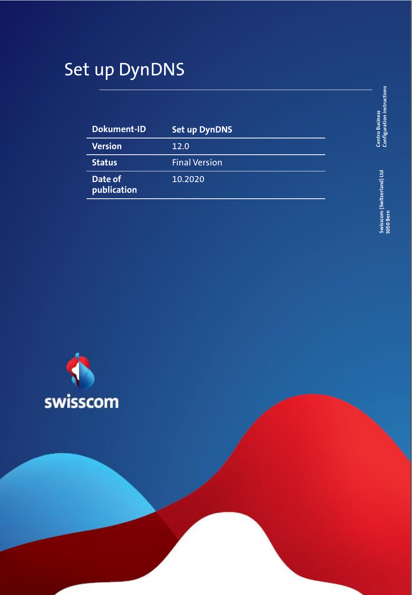## Set up DynDNS

| Dokument-ID            | <b>Set up DynDNS</b> |
|------------------------|----------------------|
| <b>Version</b>         | 12.0                 |
| <b>Status</b>          | <b>Final Version</b> |
| Date of<br>publication | 10.2020              |

Centro Business<br>Configuration instructions **Configuration instructions Centro Business** 

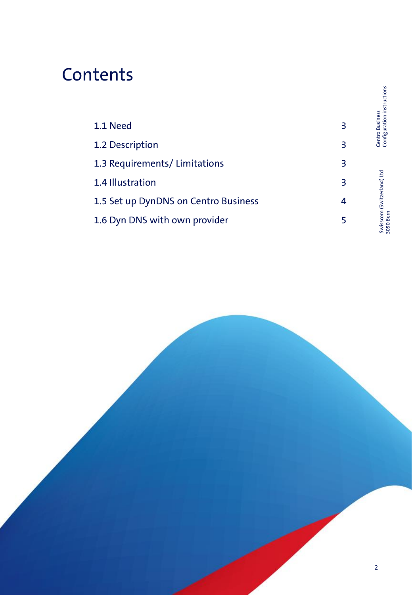# **Contents**

|                                      |   | Centro Business<br>Configuration instructions |
|--------------------------------------|---|-----------------------------------------------|
| 1.1 Need                             | 3 |                                               |
| 1.2 Description                      | 3 |                                               |
| 1.3 Requirements/Limitations         | 3 |                                               |
| 1.4 Illustration                     | 3 |                                               |
| 1.5 Set up DynDNS on Centro Business | 4 |                                               |
| 1.6 Dyn DNS with own provider        | 5 | Swisscom (Switzerland) Ltd<br>3050 Bern       |
|                                      |   |                                               |

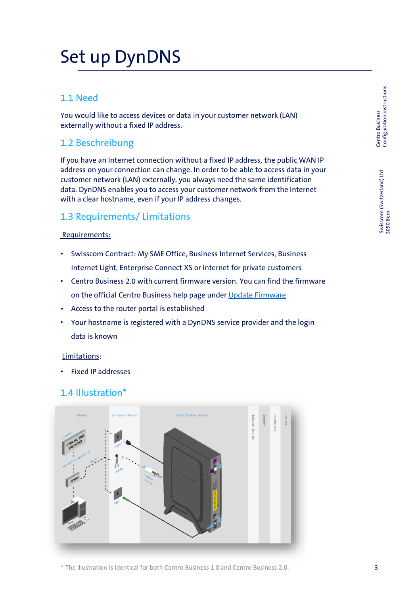## Set up DynDNS

## 1.1 Need

You would like to access devices or data in your customer network (LAN) externally without a fixed IP address.

### 1.2 Beschreibung

If you have an Internet connection without a fixed IP address, the public WAN IP address on your connection can change. In order to be able to access data in your customer network (LAN) externally, you always need the same identification data. DynDNS enables you to access your customer network from the Internet with a clear hostname, even if your IP address changes.

## 1.3 Requirements/ Limitations

#### Requirements:

- Swisscom Contract: My SME Office, Business Internet Services, Business Internet Light, Enterprise Connect XS or Internet for private customers
- Centro Business 2.0 with current firmware version. You can find the firmware on the official Centro Business help page under [Update Firmware](http://www.swisscom.ch/centrobusiness2-fw)
- Access to the router portal is established
- Your hostname is registered with a DynDNS service provider and the login data is known

#### Limitations:

• Fixed IP addresses

### 1.4 Illustration\*



\* The illustration is identical for both Centro Business 1.0 and Centro Business 2.0.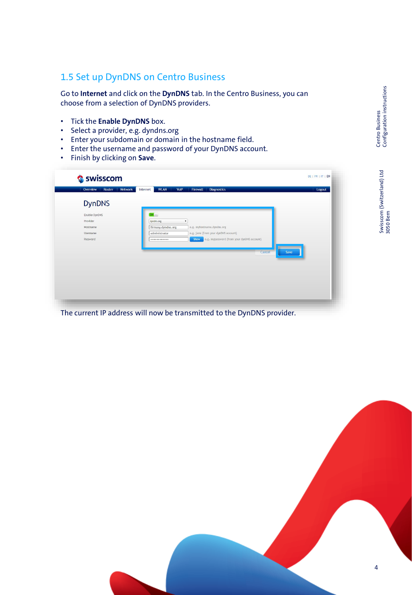## 1.5 Set up DynDNS on Centro Business

Go to **Internet** and click on the **DynDNS** tab. In the Centro Business, you can choose from a selection of DynDNS providers.

- Tick the **Enable DynDNS** box.
- Select a provider, e.g. dyndns.org
- Enter your subdomain or domain in the hostname field.
- Enter the username and password of your DynDNS account.
- Finish by clicking on **Save**.

| Overview<br>Router<br>Network | <b>WLAN</b><br>VoIP<br>Internet | Firewall<br>Diagnostics                            | Logout |
|-------------------------------|---------------------------------|----------------------------------------------------|--------|
| <b>DynDNS</b>                 |                                 |                                                    |        |
| Enable DynDNS                 | On                              |                                                    |        |
| Provider                      | dyndns.org                      | $\pmb{\mathrm{v}}$                                 |        |
| Hostname                      | firmaxy.dyndns.org              | e.g. myhostname.dyndns.org                         |        |
| Username                      | administrator                   | e.g. jane (from your dynDNS account)               |        |
| Password                      |                                 | e.g. mypassword (from your dynDNS account)<br>Show |        |
|                               |                                 |                                                    |        |
|                               |                                 | Cancel                                             | Save   |
|                               |                                 |                                                    |        |
|                               |                                 |                                                    |        |
|                               |                                 |                                                    |        |
|                               |                                 |                                                    |        |
|                               |                                 |                                                    |        |
|                               |                                 |                                                    |        |

The current IP address will now be transmitted to the DynDNS provider.